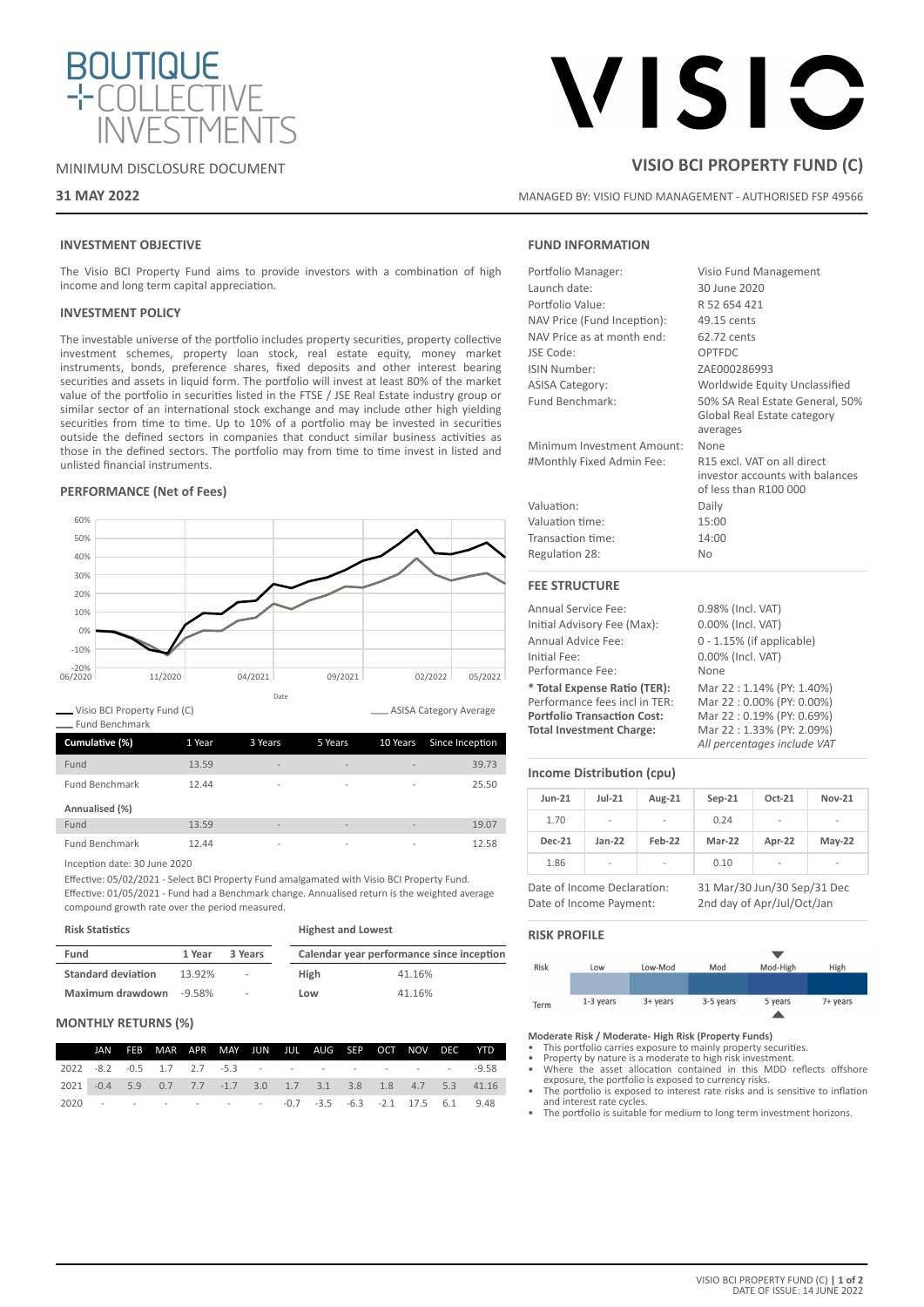

# MINIMUM DISCLOSURE DOCUMENT

# **31 MAY 2022**

# VISIC

# **VISIO BCI PROPERTY FUND (C)**

MANAGED BY: VISIO FUND MANAGEMENT - AUTHORISED FSP 49566

# **INVESTMENT OBJECTIVE**

The Visio BCI Property Fund aims to provide investors with a combination of high income and long term capital appreciation.

### **INVESTMENT POLICY**

The investable universe of the portfolio includes property securities, property collective investment schemes, property loan stock, real estate equity, money market instruments, bonds, preference shares, fixed deposits and other interest bearing securities and assets in liquid form. The portfolio will invest at least 80% of the market value of the portfolio in securities listed in the FTSE / JSE Real Estate industry group or similar sector of an international stock exchange and may include other high yielding securities from time to time. Up to 10% of a portfolio may be invested in securities outside the defined sectors in companies that conduct similar business activities as those in the defined sectors. The portfolio may from time to time invest in listed and unlisted financial instruments.

### **PERFORMANCE (Net of Fees)**



Visio BCI Property Fund (C) Fund Benchmark **Cumulative (%)** 1 Year 3 Years 5 Years 10 Years Since Inception

| Fund           | 13.59 | $\overline{\phantom{a}}$ | $\overline{\phantom{a}}$ | $\overline{\phantom{a}}$ | 39.73 |
|----------------|-------|--------------------------|--------------------------|--------------------------|-------|
| Fund Benchmark | 12.44 | $\overline{\phantom{a}}$ | $\overline{\phantom{a}}$ | $\sim$                   | 25.50 |
|                |       |                          |                          |                          |       |
| Annualised (%) |       |                          |                          |                          |       |
| Fund           | 13.59 | $\overline{\phantom{a}}$ | $\overline{\phantom{a}}$ | $\overline{\phantom{a}}$ | 19.07 |

Inception date: 30 June 2020

Effective: 05/02/2021 - Select BCI Property Fund amalgamated with Visio BCI Property Fund. Effective: 01/05/2021 - Fund had a Benchmark change. Annualised return is the weighted average compound growth rate over the period measured.

| <b>Risk Statistics</b>    |           |                          | <b>Highest and Lowest</b> |                                           |  |
|---------------------------|-----------|--------------------------|---------------------------|-------------------------------------------|--|
| Fund                      | 1 Year    | 3 Years                  |                           | Calendar year performance since inception |  |
| <b>Standard deviation</b> | 13.92%    | $\overline{\phantom{a}}$ | High                      | 41.16%                                    |  |
| Maximum drawdown          | $-9.58\%$ | $\overline{\phantom{a}}$ | Low                       | 41.16%                                    |  |

### **MONTHLY RETURNS (%)**

|                                                         |  | JAN FEB MAR APR MAY JUN JUL AUG SEP OCT NOV DEC YTD |  |  |  |  |                                                              |
|---------------------------------------------------------|--|-----------------------------------------------------|--|--|--|--|--------------------------------------------------------------|
|                                                         |  |                                                     |  |  |  |  | 2022 -8.2 -0.5 1.7 2.7 -5.3 - - - - - - - - - - - -9.58      |
|                                                         |  |                                                     |  |  |  |  | 2021 -0.4 5.9 0.7 7.7 -1.7 3.0 1.7 3.1 3.8 1.8 4.7 5.3 41.16 |
| 2020 - - - - - - - - - 0.7 -3.5 -6.3 -2.1 17.5 6.1 9.48 |  |                                                     |  |  |  |  |                                                              |

# **FUND INFORMATION**

| Portfolio Manager:          | Visio Fund Management                                                                   |
|-----------------------------|-----------------------------------------------------------------------------------------|
| Launch date:                | 30 June 2020                                                                            |
| Portfolio Value:            | R 52 654 421                                                                            |
| NAV Price (Fund Inception): | 49.15 cents                                                                             |
| NAV Price as at month end:  | 62.72 cents                                                                             |
| JSE Code:                   | OPTFDC                                                                                  |
| ISIN Number:                | ZAE000286993                                                                            |
| <b>ASISA Category:</b>      | Worldwide Equity Unclassified                                                           |
| Fund Benchmark:             | 50% SA Real Estate General, 50%<br>Global Real Estate category<br>averages              |
| Minimum Investment Amount:  | None                                                                                    |
| #Monthly Fixed Admin Fee:   | R15 excl. VAT on all direct<br>investor accounts with balances<br>of less than R100 000 |
| Valuation:                  | Daily                                                                                   |
| Valuation time:             | 15:00                                                                                   |
| Transaction time:           | 14:00                                                                                   |
| Regulation 28:              | <b>No</b>                                                                               |
|                             |                                                                                         |

# **FEE STRUCTURE**

| <b>Annual Service Fee:</b>         | 0.98% (Incl. VAT)            |
|------------------------------------|------------------------------|
| Initial Advisory Fee (Max):        | 0.00% (Incl. VAT)            |
| Annual Advice Fee:                 | $0 - 1.15\%$ (if applicable) |
| Initial Fee:                       | 0.00% (Incl. VAT)            |
| Performance Fee:                   | None                         |
| * Total Expense Ratio (TER):       | Mar 22:1.14% (PY: 1.40%)     |
| Performance fees incl in TER:      | Mar 22:0.00% (PY: 0.00%)     |
| <b>Portfolio Transaction Cost:</b> | Mar 22: 0.19% (PY: 0.69%)    |
| <b>Total Investment Charge:</b>    | Mar 22:1.33% (PY: 2.09%)     |
|                                    | All percentages include VAT  |

## **Income Distribution (cpu)**

| $Jun-21$                    | $Jul-21$                 | Aug-21 | $Sep-21$                    | Oct-21                   | <b>Nov-21</b>            |
|-----------------------------|--------------------------|--------|-----------------------------|--------------------------|--------------------------|
| 1.70                        | $\overline{\phantom{a}}$ |        | 0.24                        |                          | -                        |
| <b>Dec-21</b>               | $Jan-22$                 | Feb-22 | Mar-22                      | Apr-22                   | $May-22$                 |
| 1.86                        | $\overline{\phantom{a}}$ |        | 0.10                        | $\overline{\phantom{a}}$ | $\overline{\phantom{0}}$ |
| Date of Income Declaration: |                          |        | 31 Mar/30 Jun/30 Sep/31 Dec |                          |                          |

Date of Income Payment: 2nd day of Apr/Jul/Oct/Jan

### **RISK PROFILE**

| Risk | Low       | Low-Mod    | Mod       | Mod-High | High     |
|------|-----------|------------|-----------|----------|----------|
|      |           |            |           |          |          |
|      |           |            |           |          |          |
| Term | 1-3 years | $3+$ years | 3-5 years | 5 years  | 7+ years |
|      |           |            |           |          |          |

**Moderate Risk / Moderate- High Risk (Property Funds)**

• This portfolio carries exposure to mainly property securities. • Property by nature is a moderate to high risk investment.

- Where the asset allocation contained in this MDD reflects offshore exposure, the portfolio is exposed to currency risks.
- The portfolio is exposed to interest rate risks and is sensitive to inflation and interest rate cycles. The portfolio is suitable for medium to long term investment horizons.
-